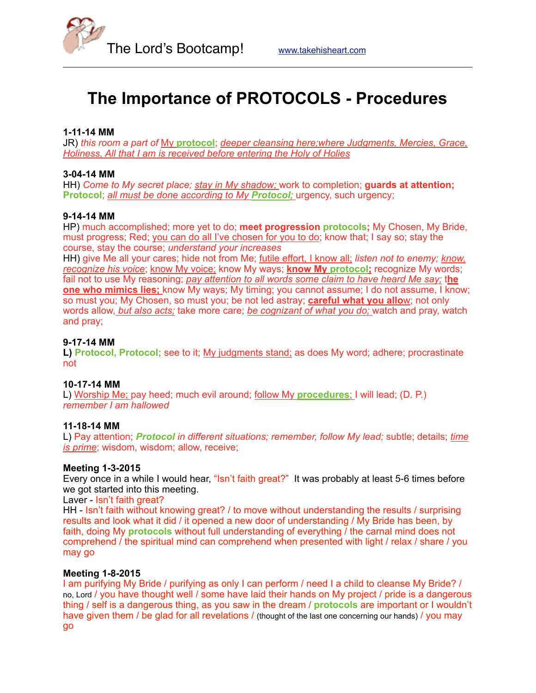

# **The Importance of PROTOCOLS - Procedures**

# **1-11-14 MM**

JR) *this room a part of* My **protocol**; *deeper cleansing here;where Judgments, Mercies, Grace, Holiness, All that I am is received before entering the Holy of Holies*

## **3-04-14 MM**

HH) *Come to My secret place; stay in My shadow;* work to completion; **guards at attention; Protocol**; *all must be done according to My Protocol;* urgency, such urgency;

# **9-14-14 MM**

HP) much accomplished; more yet to do; **meet progression protocols;** My Chosen, My Bride, must progress; Red; you can do all I've chosen for you to do; know that; I say so; stay the course, stay the course; *understand your increases*

HH) give Me all your cares; hide not from Me; futile effort, I know all; *listen not to enemy; know,*  recognize his voice; know My voice; know My ways; know My protocol; recognize My words; fail not to use My reasoning; *pay attention to all words some claim to have heard Me say;* t**he one who mimics lies;** know My ways; My timing; you cannot assume; I do not assume, I know; so must you; My Chosen, so must you; be not led astray; **careful what you allo**w; not only words allow, *but also acts;* take more care; *be cognizant of what you do;* watch and pray, watch and pray;

# **9-17-14 MM**

**L) Protocol, Protocol;** see to it; My judgments stand; as does My word; adhere; procrastinate not

#### **10-17-14 MM**

L) Worship Me; pay heed; much evil around; follow My **procedures**; I will lead; (D. P.) *remember I am hallowed*

#### **11-18-14 MM**

L) Pay attention; *Protocol in different situations; remember, follow My lead;* subtle; details; *time is prime*; wisdom, wisdom; allow, receive;

#### **Meeting 1-3-2015**

Every once in a while I would hear, "Isn't faith great?" It was probably at least 5-6 times before we got started into this meeting.

Laver - Isn't faith great?

HH - Isn't faith without knowing great? / to move without understanding the results / surprising results and look what it did / it opened a new door of understanding / My Bride has been, by faith, doing My **protocols** without full understanding of everything / the carnal mind does not comprehend / the spiritual mind can comprehend when presented with light / relax / share / you may go

#### **Meeting 1-8-2015**

I am purifying My Bride / purifying as only I can perform / need I a child to cleanse My Bride? / no, Lord / you have thought well / some have laid their hands on My project / pride is a dangerous thing / self is a dangerous thing, as you saw in the dream / **protocols** are important or I wouldn't have given them / be glad for all revelations / (thought of the last one concerning our hands) / you may go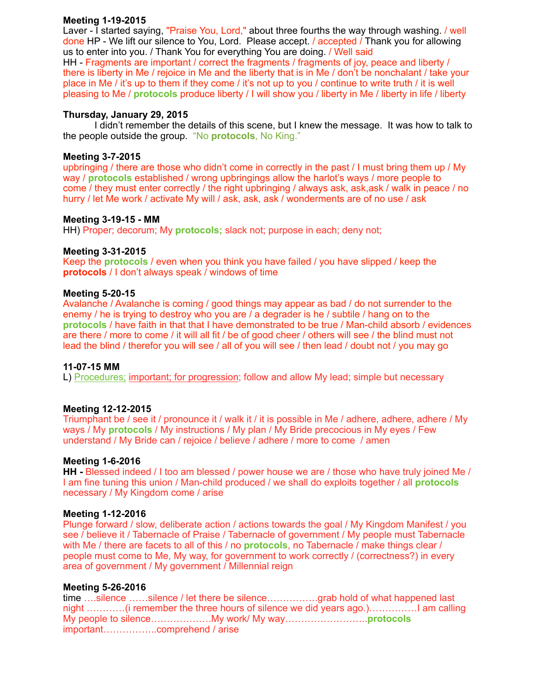# **Meeting 1-19-2015**

Laver - I started saying, "Praise You, Lord," about three fourths the way through washing. / well done HP - We lift our silence to You, Lord. Please accept. / accepted / Thank you for allowing us to enter into you. / Thank You for everything You are doing. / Well said

HH - Fragments are important / correct the fragments / fragments of joy, peace and liberty / there is liberty in Me / rejoice in Me and the liberty that is in Me / don't be nonchalant / take your place in Me / it's up to them if they come / it's not up to you / continue to write truth / it is well pleasing to Me / **protocols** produce liberty / I will show you / liberty in Me / liberty in life / liberty

## **Thursday, January 29, 2015**

 I didn't remember the details of this scene, but I knew the message. It was how to talk to the people outside the group. "No **protocols**, No King."

## **Meeting 3-7-2015**

upbringing / there are those who didn't come in correctly in the past / I must bring them up / My way / **protocols** established / wrong upbringings allow the harlot's ways / more people to come / they must enter correctly / the right upbringing / always ask, ask,ask / walk in peace / no hurry / let Me work / activate My will / ask, ask, ask / wonderments are of no use / ask

#### **Meeting 3-19-15 - MM**

HH) Proper; decorum; My **protocols;** slack not; purpose in each; deny not;

## **Meeting 3-31-2015**

Keep the **protocols** / even when you think you have failed / you have slipped / keep the **protocols** / I don't always speak / windows of time

## **Meeting 5-20-15**

Avalanche / Avalanche is coming / good things may appear as bad / do not surrender to the enemy / he is trying to destroy who you are / a degrader is he / subtile / hang on to the **protocols** / have faith in that that I have demonstrated to be true / Man-child absorb / evidences are there / more to come / it will all fit / be of good cheer / others will see / the blind must not lead the blind / therefor you will see / all of you will see / then lead / doubt not / you may go

#### **11-07-15 MM**

L) Procedures; important; for progression; follow and allow My lead; simple but necessary

# **Meeting 12-12-2015**

Triumphant be / see it / pronounce it / walk it / it is possible in Me / adhere, adhere, adhere / My ways / My **protocols** / My instructions / My plan / My Bride precocious in My eyes / Few understand / My Bride can / rejoice / believe / adhere / more to come / amen

#### **Meeting 1-6-2016**

**HH -** Blessed indeed / I too am blessed / power house we are / those who have truly joined Me / I am fine tuning this union / Man-child produced / we shall do exploits together / all **protocols** necessary / My Kingdom come / arise

#### **Meeting 1-12-2016**

Plunge forward / slow, deliberate action / actions towards the goal / My Kingdom Manifest / you see / believe it / Tabernacle of Praise / Tabernacle of government / My people must Tabernacle with Me / there are facets to all of this / no **protocols**, no Tabernacle / make things clear / people must come to Me, My way, for government to work correctly / (correctness?) in every area of government / My government / Millennial reign

#### **Meeting 5-26-2016**

time ….silence ……silence / let there be silence…………….grab hold of what happened last night …………(i remember the three hours of silence we did years ago.)……………I am calling My people to silence……………….My work/ My way……………………..**protocols** important……………..comprehend / arise